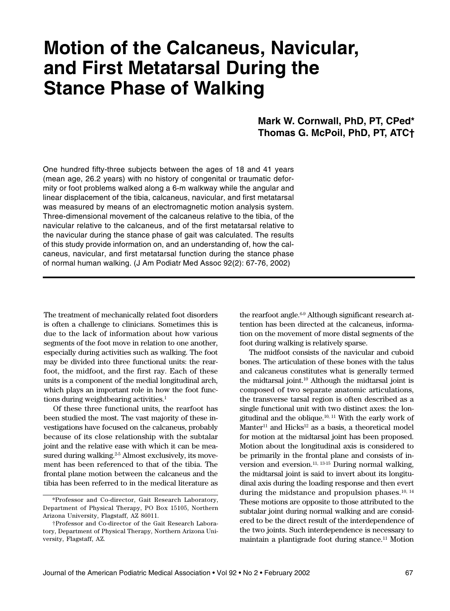# **Motion of the Calcaneus, Navicular, and First Metatarsal During the Stance Phase of Walking**

# **Mark W. Cornwall, PhD, PT, CPed\* Thomas G. McPoil, PhD, PT, ATC†**

One hundred fifty-three subjects between the ages of 18 and 41 years (mean age, 26.2 years) with no history of congenital or traumatic deformity or foot problems walked along a 6-m walkway while the angular and linear displacement of the tibia, calcaneus, navicular, and first metatarsal was measured by means of an electromagnetic motion analysis system. Three-dimensional movement of the calcaneus relative to the tibia, of the navicular relative to the calcaneus, and of the first metatarsal relative to the navicular during the stance phase of gait was calculated. The results of this study provide information on, and an understanding of, how the calcaneus, navicular, and first metatarsal function during the stance phase of normal human walking. (J Am Podiatr Med Assoc 92(2): 67-76, 2002)

The treatment of mechanically related foot disorders is often a challenge to clinicians. Sometimes this is due to the lack of information about how various segments of the foot move in relation to one another, especially during activities such as walking. The foot may be divided into three functional units: the rearfoot, the midfoot, and the first ray. Each of these units is a component of the medial longitudinal arch, which plays an important role in how the foot functions during weightbearing activities.<sup>1</sup>

Of these three functional units, the rearfoot has been studied the most. The vast majority of these investigations have focused on the calcaneus, probably because of its close relationship with the subtalar joint and the relative ease with which it can be measured during walking.<sup>2-5</sup> Almost exclusively, its movement has been referenced to that of the tibia. The frontal plane motion between the calcaneus and the tibia has been referred to in the medical literature as the rearfoot angle.<sup>6-9</sup> Although significant research attention has been directed at the calcaneus, information on the movement of more distal segments of the foot during walking is relatively sparse.

The midfoot consists of the navicular and cuboid bones. The articulation of these bones with the talus and calcaneus constitutes what is generally termed the midtarsal joint.10 Although the midtarsal joint is composed of two separate anatomic articulations, the transverse tarsal region is often described as a single functional unit with two distinct axes: the longitudinal and the oblique. $10, 11$  With the early work of  $M$ anter<sup>11</sup> and Hicks<sup>12</sup> as a basis, a theoretical model for motion at the midtarsal joint has been proposed. Motion about the longitudinal axis is considered to be primarily in the frontal plane and consists of inversion and eversion. $11, 13.15$  During normal walking, the midtarsal joint is said to invert about its longitudinal axis during the loading response and then evert during the midstance and propulsion phases.<sup>10, 14</sup> These motions are opposite to those attributed to the subtalar joint during normal walking and are considered to be the direct result of the interdependence of the two joints. Such interdependence is necessary to maintain a plantigrade foot during stance.11 Motion

<sup>\*</sup>Professor and Co-director, Gait Research Laboratory, Department of Physical Therapy, PO Box 15105, Northern Arizona University, Flagstaff, AZ 86011.

<sup>†</sup>Professor and Co-director of the Gait Research Laboratory, Department of Physical Therapy, Northern Arizona University, Flagstaff, AZ.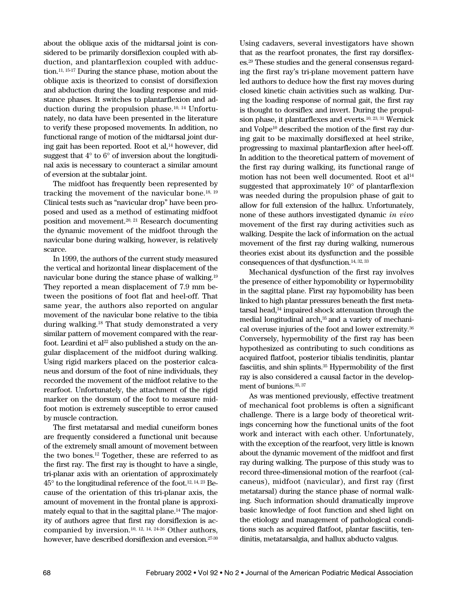about the oblique axis of the midtarsal joint is considered to be primarily dorsiflexion coupled with abduction, and plantarflexion coupled with adduction.11, 15-17 During the stance phase, motion about the oblique axis is theorized to consist of dorsiflexion and abduction during the loading response and midstance phases. It switches to plantarflexion and adduction during the propulsion phase.<sup>10, 14</sup> Unfortunately, no data have been presented in the literature to verify these proposed movements. In addition, no functional range of motion of the midtarsal joint during gait has been reported. Root et al,<sup>14</sup> however, did suggest that  $4^{\circ}$  to  $6^{\circ}$  of inversion about the longitudinal axis is necessary to counteract a similar amount of eversion at the subtalar joint.

The midfoot has frequently been represented by tracking the movement of the navicular bone.<sup>18, 19</sup> Clinical tests such as "navicular drop" have been proposed and used as a method of estimating midfoot position and movement.20, 21 Research documenting the dynamic movement of the midfoot through the navicular bone during walking, however, is relatively scarce.

In 1999, the authors of the current study measured the vertical and horizontal linear displacement of the navicular bone during the stance phase of walking.19 They reported a mean displacement of 7.9 mm between the positions of foot flat and heel-off. That same year, the authors also reported on angular movement of the navicular bone relative to the tibia during walking.18 That study demonstrated a very similar pattern of movement compared with the rearfoot. Leardini et al<sup>22</sup> also published a study on the angular displacement of the midfoot during walking. Using rigid markers placed on the posterior calcaneus and dorsum of the foot of nine individuals, they recorded the movement of the midfoot relative to the rearfoot. Unfortunately, the attachment of the rigid marker on the dorsum of the foot to measure midfoot motion is extremely susceptible to error caused by muscle contraction.

The first metatarsal and medial cuneiform bones are frequently considered a functional unit because of the extremely small amount of movement between the two bones.12 Together, these are referred to as the first ray. The first ray is thought to have a single, tri-planar axis with an orientation of approximately  $45^{\circ}$  to the longitudinal reference of the foot.<sup>12, 14, 23</sup> Because of the orientation of this tri-planar axis, the amount of movement in the frontal plane is approximately equal to that in the sagittal plane.<sup>14</sup> The majority of authors agree that first ray dorsiflexion is accompanied by inversion.<sup>10, 12, 14, 24-26</sup> Other authors, however, have described dorsiflexion and eversion.<sup>27-30</sup>

Using cadavers, several investigators have shown that as the rearfoot pronates, the first ray dorsiflexes.29 These studies and the general consensus regarding the first ray's tri-plane movement pattern have led authors to deduce how the first ray moves during closed kinetic chain activities such as walking. During the loading response of normal gait, the first ray is thought to dorsiflex and invert. During the propulsion phase, it plantarflexes and everts.10, 23, 31 Wernick and Volpe10 described the motion of the first ray during gait to be maximally dorsiflexed at heel strike, progressing to maximal plantarflexion after heel-off. In addition to the theoretical pattern of movement of the first ray during walking, its functional range of motion has not been well documented. Root et al<sup>14</sup> suggested that approximately 10° of plantarflexion was needed during the propulsion phase of gait to allow for full extension of the hallux. Unfortunately, none of these authors investigated dynamic *in vivo* movement of the first ray during activities such as walking. Despite the lack of information on the actual movement of the first ray during walking, numerous theories exist about its dysfunction and the possible consequences of that dysfunction.14, 32, 33

Mechanical dysfunction of the first ray involves the presence of either hypomobility or hypermobility in the sagittal plane. First ray hypomobility has been linked to high plantar pressures beneath the first metatarsal head,<sup>34</sup> impaired shock attenuation through the medial longitudinal arch, $35$  and a variety of mechanical overuse injuries of the foot and lower extremity.36 Conversely, hypermobility of the first ray has been hypothesized as contributing to such conditions as acquired flatfoot, posterior tibialis tendinitis, plantar fasciitis, and shin splints.35 Hypermobility of the first ray is also considered a causal factor in the development of bunions.<sup>35, 37</sup>

As was mentioned previously, effective treatment of mechanical foot problems is often a significant challenge. There is a large body of theoretical writings concerning how the functional units of the foot work and interact with each other. Unfortunately, with the exception of the rearfoot, very little is known about the dynamic movement of the midfoot and first ray during walking. The purpose of this study was to record three-dimensional motion of the rearfoot (calcaneus), midfoot (navicular), and first ray (first metatarsal) during the stance phase of normal walking. Such information should dramatically improve basic knowledge of foot function and shed light on the etiology and management of pathological conditions such as acquired flatfoot, plantar fasciitis, tendinitis, metatarsalgia, and hallux abducto valgus.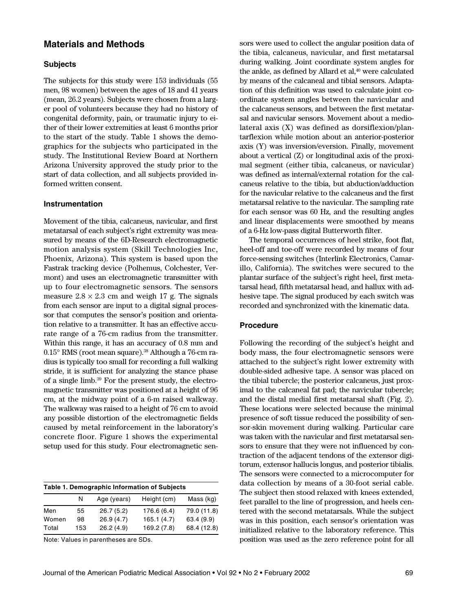# **Materials and Methods**

#### **Subjects**

The subjects for this study were 153 individuals (55 men, 98 women) between the ages of 18 and 41 years (mean, 26.2 years). Subjects were chosen from a larger pool of volunteers because they had no history of congenital deformity, pain, or traumatic injury to either of their lower extremities at least 6 months prior to the start of the study. Table 1 shows the demographics for the subjects who participated in the study. The Institutional Review Board at Northern Arizona University approved the study prior to the start of data collection, and all subjects provided informed written consent.

#### **Instrumentation**

Movement of the tibia, calcaneus, navicular, and first metatarsal of each subject's right extremity was measured by means of the 6D-Research electromagnetic motion analysis system (Skill Technologies Inc, Phoenix, Arizona). This system is based upon the Fastrak tracking device (Polhemus, Colchester, Vermont) and uses an electromagnetic transmitter with up to four electromagnetic sensors. The sensors measure  $2.8 \times 2.3$  cm and weigh 17 g. The signals from each sensor are input to a digital signal processor that computes the sensor's position and orientation relative to a transmitter. It has an effective accurate range of a 76-cm radius from the transmitter. Within this range, it has an accuracy of 0.8 mm and 0.15° RMS (root mean square).38 Although a 76-cm radius is typically too small for recording a full walking stride, it is sufficient for analyzing the stance phase of a single limb.39 For the present study, the electromagnetic transmitter was positioned at a height of 96 cm, at the midway point of a 6-m raised walkway. The walkway was raised to a height of 76 cm to avoid any possible distortion of the electromagnetic fields caused by metal reinforcement in the laboratory's concrete floor. Figure 1 shows the experimental setup used for this study. Four electromagnetic sen-

| Table 1. Demographic Information of Subjects |  |
|----------------------------------------------|--|
|                                              |  |

|       | N   | Age (years) | Height (cm) | Mass (kg)   |
|-------|-----|-------------|-------------|-------------|
| Men   | 55  | 26.7(5.2)   | 176.6 (6.4) | 79.0 (11.8) |
| Women | 98  | 26.9(4.7)   | 165.1(4.7)  | 63.4(9.9)   |
| Total | 153 | 26.2(4.9)   | 169.2 (7.8) | 68.4 (12.8) |

Note: Values in parentheses are SDs.

sors were used to collect the angular position data of the tibia, calcaneus, navicular, and first metatarsal during walking. Joint coordinate system angles for the ankle, as defined by Allard et  $al$ ,  $40$  were calculated by means of the calcaneal and tibial sensors. Adaptation of this definition was used to calculate joint coordinate system angles between the navicular and the calcaneus sensors, and between the first metatarsal and navicular sensors. Movement about a mediolateral axis (X) was defined as dorsiflexion/plantarflexion while motion about an anterior-posterior axis (Y) was inversion/eversion. Finally, movement about a vertical (Z) or longitudinal axis of the proximal segment (either tibia, calcaneus, or navicular) was defined as internal/external rotation for the calcaneus relative to the tibia, but abduction/adduction for the navicular relative to the calcaneus and the first metatarsal relative to the navicular. The sampling rate for each sensor was 60 Hz, and the resulting angles and linear displacements were smoothed by means of a 6-Hz low-pass digital Butterworth filter.

The temporal occurrences of heel strike, foot flat, heel-off and toe-off were recorded by means of four force-sensing switches (Interlink Electronics, Camarillo, California). The switches were secured to the plantar surface of the subject's right heel, first metatarsal head, fifth metatarsal head, and hallux with adhesive tape. The signal produced by each switch was recorded and synchronized with the kinematic data.

#### **Procedure**

Following the recording of the subject's height and body mass, the four electromagnetic sensors were attached to the subject's right lower extremity with double-sided adhesive tape. A sensor was placed on the tibial tubercle; the posterior calcaneus, just proximal to the calcaneal fat pad; the navicular tubercle; and the distal medial first metatarsal shaft (Fig. 2). These locations were selected because the minimal presence of soft tissue reduced the possibility of sensor-skin movement during walking. Particular care was taken with the navicular and first metatarsal sensors to ensure that they were not influenced by contraction of the adjacent tendons of the extensor digitorum, extensor hallucis longus, and posterior tibialis. The sensors were connected to a microcomputer for data collection by means of a 30-foot serial cable. The subject then stood relaxed with knees extended, feet parallel to the line of progression, and heels centered with the second metatarsals. While the subject was in this position, each sensor's orientation was initialized relative to the laboratory reference. This position was used as the zero reference point for all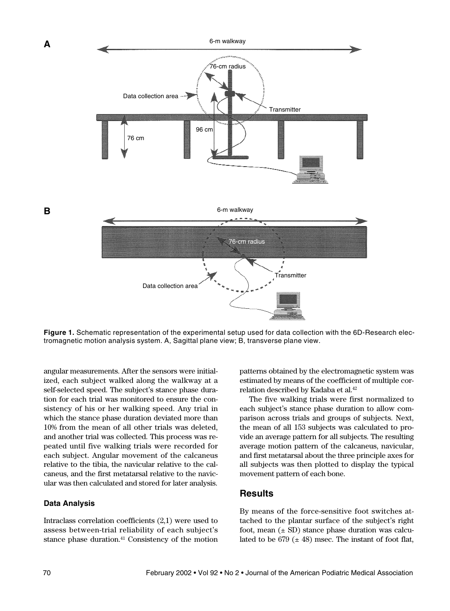

**Figure 1.** Schematic representation of the experimental setup used for data collection with the 6D-Research electromagnetic motion analysis system. A, Sagittal plane view; B, transverse plane view.

angular measurements. After the sensors were initialized, each subject walked along the walkway at a self-selected speed. The subject's stance phase duration for each trial was monitored to ensure the consistency of his or her walking speed. Any trial in which the stance phase duration deviated more than 10% from the mean of all other trials was deleted, and another trial was collected. This process was repeated until five walking trials were recorded for each subject. Angular movement of the calcaneus relative to the tibia, the navicular relative to the calcaneus, and the first metatarsal relative to the navicular was then calculated and stored for later analysis.

#### **Data Analysis**

Intraclass correlation coefficients (2,1) were used to assess between-trial reliability of each subject's stance phase duration.<sup>41</sup> Consistency of the motion

patterns obtained by the electromagnetic system was estimated by means of the coefficient of multiple correlation described by Kadaba et al.42

The five walking trials were first normalized to each subject's stance phase duration to allow comparison across trials and groups of subjects. Next, the mean of all 153 subjects was calculated to provide an average pattern for all subjects. The resulting average motion pattern of the calcaneus, navicular, and first metatarsal about the three principle axes for all subjects was then plotted to display the typical movement pattern of each bone.

## **Results**

By means of the force-sensitive foot switches attached to the plantar surface of the subject's right foot, mean  $(\pm SD)$  stance phase duration was calculated to be 679  $(\pm 48)$  msec. The instant of foot flat,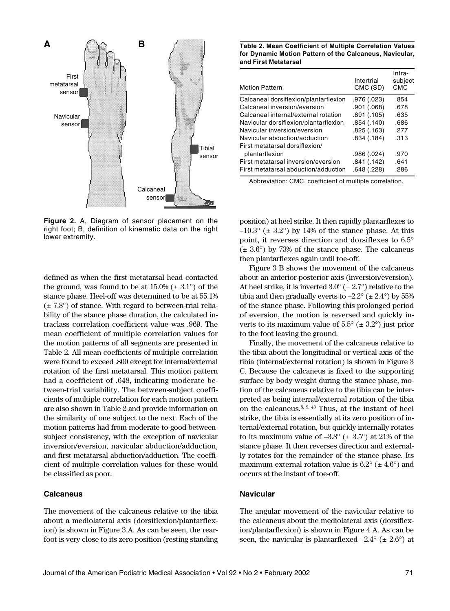

**Figure 2.** A, Diagram of sensor placement on the right foot; B, definition of kinematic data on the right lower extremity.

defined as when the first metatarsal head contacted the ground, was found to be at  $15.0\%$  ( $\pm 3.1$ °) of the stance phase. Heel-off was determined to be at 55.1%  $(\pm 7.8^{\circ})$  of stance. With regard to between-trial reliability of the stance phase duration, the calculated intraclass correlation coefficient value was .969. The mean coefficient of multiple correlation values for the motion patterns of all segments are presented in Table 2. All mean coefficients of multiple correlation were found to exceed .800 except for internal/external rotation of the first metatarsal. This motion pattern had a coefficient of .648, indicating moderate between-trial variability. The between-subject coefficients of multiple correlation for each motion pattern are also shown in Table 2 and provide information on the similarity of one subject to the next. Each of the motion patterns had from moderate to good betweensubject consistency, with the exception of navicular inversion/eversion, navicular abduction/adduction, and first metatarsal abduction/adduction. The coefficient of multiple correlation values for these would be classified as poor.

#### **Calcaneus**

The movement of the calcaneus relative to the tibia about a mediolateral axis (dorsiflexion/plantarflexion) is shown in Figure 3 A. As can be seen, the rearfoot is very close to its zero position (resting standing

**Table 2. Mean Coefficient of Multiple Correlation Values for Dynamic Motion Pattern of the Calcaneus, Navicular, and First Metatarsal** 

| <b>Motion Pattern</b>                 | Intertrial<br>CMC (SD) | Intra-<br>subject<br><b>CMC</b> |
|---------------------------------------|------------------------|---------------------------------|
| Calcaneal dorsiflexion/plantarflexion | .976 (.023)            | .854                            |
| Calcaneal inversion/eversion          | .901(.068)             | .678                            |
| Calcaneal internal/external rotation  | .891(.105)             | .635                            |
| Navicular dorsiflexion/plantarflexion | .854(.140)             | .686                            |
| Navicular inversion/eversion          | .825(.163)             | .277                            |
| Navicular abduction/adduction         | .834(.184)             | .313                            |
| First metatarsal dorsiflexion/        |                        |                                 |
| plantarflexion                        | .986(.024)             | .970                            |
| First metatarsal inversion/eversion   | .841(.142)             | .641                            |
| First metatarsal abduction/adduction  | .648(.228)             | .286                            |

Abbreviation: CMC, coefficient of multiple correlation.

position) at heel strike. It then rapidly plantarflexes to  $-10.3^{\circ}$  ( $\pm$  3.2°) by 14% of the stance phase. At this point, it reverses direction and dorsiflexes to 6.5°  $(\pm 3.6^{\circ})$  by 73% of the stance phase. The calcaneus then plantarflexes again until toe-off.

Figure 3 B shows the movement of the calcaneus about an anterior-posterior axis (inversion/eversion). At heel strike, it is inverted  $3.0^{\circ}$  ( $\pm 2.7^{\circ}$ ) relative to the tibia and then gradually everts to  $-2.2^{\circ}$  ( $\pm 2.4^{\circ}$ ) by 55% of the stance phase. Following this prolonged period of eversion, the motion is reversed and quickly inverts to its maximum value of  $5.5^{\circ}$  ( $\pm$  3.2°) just prior to the foot leaving the ground.

Finally, the movement of the calcaneus relative to the tibia about the longitudinal or vertical axis of the tibia (internal/external rotation) is shown in Figure 3 C. Because the calcaneus is fixed to the supporting surface by body weight during the stance phase, motion of the calcaneus relative to the tibia can be interpreted as being internal/external rotation of the tibia on the calcaneus.8, 9, 43 Thus, at the instant of heel strike, the tibia is essentially at its zero position of internal/external rotation, but quickly internally rotates to its maximum value of  $-3.8^{\circ}$  ( $\pm 3.5^{\circ}$ ) at 21% of the stance phase. It then reverses direction and externally rotates for the remainder of the stance phase. Its maximum external rotation value is  $6.2^{\circ}$  ( $\pm$  4.6°) and occurs at the instant of toe-off.

#### **Navicular**

The angular movement of the navicular relative to the calcaneus about the mediolateral axis (dorsiflexion/plantarflexion) is shown in Figure 4 A. As can be seen, the navicular is plantarflexed  $-2.4^{\circ}$  ( $\pm$  2.6°) at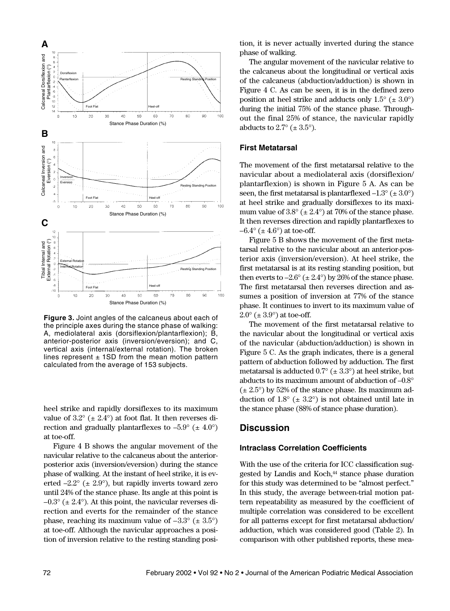

**Figure 3.** Joint angles of the calcaneus about each of the principle axes during the stance phase of walking: A, mediolateral axis (dorsiflexion/plantarflexion); B, anterior-posterior axis (inversion/eversion); and C, vertical axis (internal/external rotation). The broken lines represent  $\pm$  1SD from the mean motion pattern calculated from the average of 153 subjects.

heel strike and rapidly dorsiflexes to its maximum value of  $3.2^{\circ}$  ( $\pm$  2.4 $^{\circ}$ ) at foot flat. It then reverses direction and gradually plantarflexes to  $-5.9^{\circ}$  ( $\pm$  4.0°) at toe-off.

Figure 4 B shows the angular movement of the navicular relative to the calcaneus about the anteriorposterior axis (inversion/eversion) during the stance phase of walking. At the instant of heel strike, it is everted  $-2.2^{\circ}$  ( $\pm$  2.9°), but rapidly inverts toward zero until 24% of the stance phase. Its angle at this point is  $-0.3^{\circ}$  ( $\pm 2.4^{\circ}$ ). At this point, the navicular reverses direction and everts for the remainder of the stance phase, reaching its maximum value of  $-3.3^{\circ}$  ( $\pm 3.5^{\circ}$ ) at toe-off. Although the navicular approaches a position of inversion relative to the resting standing position, it is never actually inverted during the stance phase of walking.

The angular movement of the navicular relative to the calcaneus about the longitudinal or vertical axis of the calcaneus (abduction/adduction) is shown in Figure 4 C. As can be seen, it is in the defined zero position at heel strike and adducts only  $1.5^{\circ}$  ( $\pm 3.0^{\circ}$ ) during the initial 75% of the stance phase. Throughout the final 25% of stance, the navicular rapidly abducts to 2.7 $\degree$  ( $\pm$  3.5 $\degree$ ).

#### **First Metatarsal**

The movement of the first metatarsal relative to the navicular about a mediolateral axis (dorsiflexion/ plantarflexion) is shown in Figure 5 A. As can be seen, the first metatarsal is plantarflexed  $-1.3^{\circ}$  ( $\pm 3.0^{\circ}$ ) at heel strike and gradually dorsiflexes to its maximum value of  $3.8^{\circ}$  ( $\pm 2.4^{\circ}$ ) at 70% of the stance phase. It then reverses direction and rapidly plantarflexes to  $-6.4^{\circ}$  ( $\pm 4.6^{\circ}$ ) at toe-off.

Figure 5 B shows the movement of the first metatarsal relative to the navicular about an anterior-posterior axis (inversion/eversion). At heel strike, the first metatarsal is at its resting standing position, but then everts to  $-2.6^{\circ}$  ( $\pm 2.4^{\circ}$ ) by 26% of the stance phase. The first metatarsal then reverses direction and assumes a position of inversion at 77% of the stance phase. It continues to invert to its maximum value of  $2.0^{\circ}$  ( $\pm$  3.9 $^{\circ}$ ) at toe-off.

The movement of the first metatarsal relative to the navicular about the longitudinal or vertical axis of the navicular (abduction/adduction) is shown in Figure 5 C. As the graph indicates, there is a general pattern of abduction followed by adduction. The first metatarsal is adducted  $0.7^{\circ}$  ( $\pm$  3.3°) at heel strike, but abducts to its maximum amount of abduction of –0.8°  $(\pm 2.5^{\circ})$  by 52% of the stance phase. Its maximum adduction of  $1.8^{\circ}$  ( $\pm$  3.2°) is not obtained until late in the stance phase (88% of stance phase duration).

## **Discussion**

#### **Intraclass Correlation Coefficients**

With the use of the criteria for ICC classification suggested by Landis and Koch,<sup>44</sup> stance phase duration for this study was determined to be "almost perfect." In this study, the average between-trial motion pattern repeatability as measured by the coefficient of multiple correlation was considered to be excellent for all patterns except for first metatarsal abduction/ adduction, which was considered good (Table 2). In comparison with other published reports, these mea-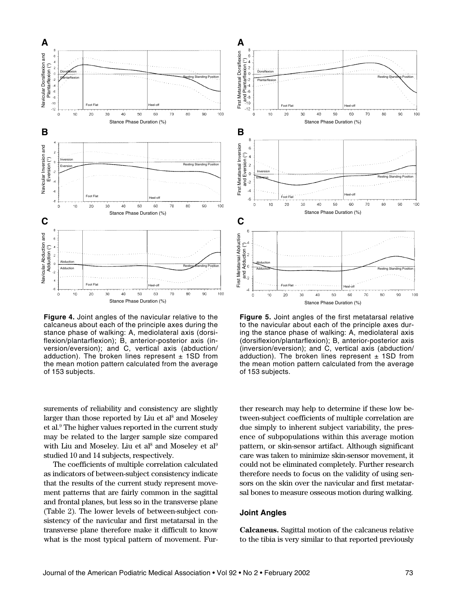

**Figure 4.** Joint angles of the navicular relative to the calcaneus about each of the principle axes during the stance phase of walking: A, mediolateral axis (dorsiflexion/plantarflexion); B, anterior-posterior axis (inversion/eversion); and C, vertical axis (abduction/ adduction). The broken lines represent  $\pm$  1SD from the mean motion pattern calculated from the average of 153 subjects.

surements of reliability and consistency are slightly larger than those reported by Liu et al<sup>8</sup> and Moseley et al.9 The higher values reported in the current study may be related to the larger sample size compared with Liu and Moseley. Liu et al<sup>8</sup> and Moseley et al<sup>9</sup> studied 10 and 14 subjects, respectively.

The coefficients of multiple correlation calculated as indicators of between-subject consistency indicate that the results of the current study represent movement patterns that are fairly common in the sagittal and frontal planes, but less so in the transverse plane (Table 2). The lower levels of between-subject consistency of the navicular and first metatarsal in the transverse plane therefore make it difficult to know what is the most typical pattern of movement. Fur-



**Figure 5.** Joint angles of the first metatarsal relative to the navicular about each of the principle axes during the stance phase of walking: A, mediolateral axis (dorsiflexion/plantarflexion); B, anterior-posterior axis (inversion/eversion); and C, vertical axis (abduction/ adduction). The broken lines represent  $\pm$  1SD from the mean motion pattern calculated from the average of 153 subjects.

ther research may help to determine if these low between-subject coefficients of multiple correlation are due simply to inherent subject variability, the presence of subpopulations within this average motion pattern, or skin-sensor artifact. Although significant care was taken to minimize skin-sensor movement, it could not be eliminated completely. Further research therefore needs to focus on the validity of using sensors on the skin over the navicular and first metatarsal bones to measure osseous motion during walking.

#### **Joint Angles**

**Calcaneus.** Sagittal motion of the calcaneus relative to the tibia is very similar to that reported previously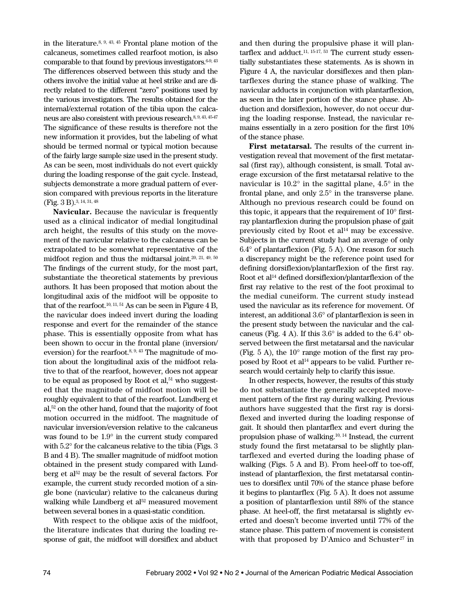in the literature.8, 9, 43, 45 Frontal plane motion of the calcaneus, sometimes called rearfoot motion, is also comparable to that found by previous investigators. $6-9, 43$ The differences observed between this study and the others involve the initial value at heel strike and are directly related to the different "zero" positions used by the various investigators. The results obtained for the internal/external rotation of the tibia upon the calcaneus are also consistent with previous research.8, 9, 43, 45-47 The significance of these results is therefore not the new information it provides, but the labeling of what should be termed normal or typical motion because of the fairly large sample size used in the present study. As can be seen, most individuals do not evert quickly during the loading response of the gait cycle. Instead, subjects demonstrate a more gradual pattern of eversion compared with previous reports in the literature (Fig. 3 B).3, 14, 31, 48

**Navicular.** Because the navicular is frequently used as a clinical indicator of medial longitudinal arch height, the results of this study on the movement of the navicular relative to the calcaneus can be extrapolated to be somewhat representative of the midfoot region and thus the midtarsal joint.20, 21, 49, 50 The findings of the current study, for the most part, substantiate the theoretical statements by previous authors. It has been proposed that motion about the longitudinal axis of the midfoot will be opposite to that of the rearfoot.<sup>10, 11, 51</sup> As can be seen in Figure 4 B, the navicular does indeed invert during the loading response and evert for the remainder of the stance phase. This is essentially opposite from what has been shown to occur in the frontal plane (inversion/ eversion) for the rearfoot.<sup>8, 9, 43</sup> The magnitude of motion about the longitudinal axis of the midfoot relative to that of the rearfoot, however, does not appear to be equal as proposed by Root et al,<sup>51</sup> who suggested that the magnitude of midfoot motion will be roughly equivalent to that of the rearfoot. Lundberg et al,52 on the other hand, found that the majority of foot motion occurred in the midfoot. The magnitude of navicular inversion/eversion relative to the calcaneus was found to be 1.9° in the current study compared with 5.2° for the calcaneus relative to the tibia (Figs. 3 B and 4 B). The smaller magnitude of midfoot motion obtained in the present study compared with Lundberg et al $52$  may be the result of several factors. For example, the current study recorded motion of a single bone (navicular) relative to the calcaneus during walking while Lundberg et al<sup>52</sup> measured movement between several bones in a quasi-static condition.

With respect to the oblique axis of the midfoot, the literature indicates that during the loading response of gait, the midfoot will dorsiflex and abduct and then during the propulsive phase it will plantarflex and adduct.<sup>11, 15-17, 53</sup> The current study essentially substantiates these statements. As is shown in Figure 4 A, the navicular dorsiflexes and then plantarflexes during the stance phase of walking. The navicular adducts in conjunction with plantarflexion, as seen in the later portion of the stance phase. Abduction and dorsiflexion, however, do not occur during the loading response. Instead, the navicular remains essentially in a zero position for the first 10% of the stance phase.

**First metatarsal.** The results of the current investigation reveal that movement of the first metatarsal (first ray), although consistent, is small. Total average excursion of the first metatarsal relative to the navicular is 10.2° in the sagittal plane, 4.5° in the frontal plane, and only 2.5° in the transverse plane. Although no previous research could be found on this topic, it appears that the requirement of 10° firstray plantarflexion during the propulsion phase of gait previously cited by Root et  $al<sup>14</sup>$  may be excessive. Subjects in the current study had an average of only 6.4° of plantarflexion (Fig. 5 A). One reason for such a discrepancy might be the reference point used for defining dorsiflexion/plantarflexion of the first ray. Root et al<sup>14</sup> defined dorsiflexion/plantarflexion of the first ray relative to the rest of the foot proximal to the medial cuneiform. The current study instead used the navicular as its reference for movement. Of interest, an additional 3.6° of plantarflexion is seen in the present study between the navicular and the calcaneus (Fig. 4 A). If this  $3.6^{\circ}$  is added to the  $6.4^{\circ}$  observed between the first metatarsal and the navicular (Fig. 5 A), the 10° range motion of the first ray proposed by Root et al<sup>14</sup> appears to be valid. Further research would certainly help to clarify this issue.

In other respects, however, the results of this study do not substantiate the generally accepted movement pattern of the first ray during walking. Previous authors have suggested that the first ray is dorsiflexed and inverted during the loading response of gait. It should then plantarflex and evert during the propulsion phase of walking.10, 14 Instead, the current study found the first metatarsal to be slightly plantarflexed and everted during the loading phase of walking (Figs. 5 A and B). From heel-off to toe-off, instead of plantarflexion, the first metatarsal continues to dorsiflex until 70% of the stance phase before it begins to plantarflex (Fig. 5 A). It does not assume a position of plantarflexion until 88% of the stance phase. At heel-off, the first metatarsal is slightly everted and doesn't become inverted until 77% of the stance phase. This pattern of movement is consistent with that proposed by D'Amico and Schuster<sup>27</sup> in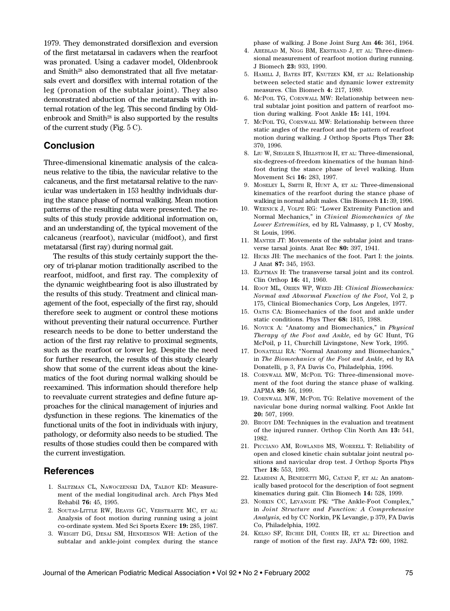1979. They demonstrated dorsiflexion and eversion of the first metatarsal in cadavers when the rearfoot was pronated. Using a cadaver model, Oldenbrook and Smith<sup>28</sup> also demonstrated that all five metatarsals evert and dorsiflex with internal rotation of the leg (pronation of the subtalar joint). They also demonstrated abduction of the metatarsals with internal rotation of the leg. This second finding by Oldenbrook and Smith $2^8$  is also supported by the results of the current study (Fig. 5 C).

# **Conclusion**

Three-dimensional kinematic analysis of the calcaneus relative to the tibia, the navicular relative to the calcaneus, and the first metatarsal relative to the navicular was undertaken in 153 healthy individuals during the stance phase of normal walking. Mean motion patterns of the resulting data were presented. The results of this study provide additional information on, and an understanding of, the typical movement of the calcaneus (rearfoot), navicular (midfoot), and first metatarsal (first ray) during normal gait.

The results of this study certainly support the theory of tri-planar motion traditionally ascribed to the rearfoot, midfoot, and first ray. The complexity of the dynamic weightbearing foot is also illustrated by the results of this study. Treatment and clinical management of the foot, especially of the first ray, should therefore seek to augment or control these motions without preventing their natural occurrence. Further research needs to be done to better understand the action of the first ray relative to proximal segments, such as the rearfoot or lower leg. Despite the need for further research, the results of this study clearly show that some of the current ideas about the kinematics of the foot during normal walking should be reexamined. This information should therefore help to reevaluate current strategies and define future approaches for the clinical management of injuries and dysfunction in these regions. The kinematics of the functional units of the foot in individuals with injury, pathology, or deformity also needs to be studied. The results of those studies could then be compared with the current investigation.

## **References**

- 1. SALTZMAN CL, NAWOCZENSKI DA, TALBOT KD: Measurement of the medial longitudinal arch. Arch Phys Med Rehabil **76:** 45, 1995.
- 2. SOUTAS-LITTLE RW, BEAVIS GC, VERSTRAETE MC, ET AL: Analysis of foot motion during running using a joint co-ordinate system. Med Sci Sports Exerc **19:** 285, 1987.
- 3. WRIGHT DG, DESAI SM, HENDERSON WH: Action of the subtalar and ankle-joint complex during the stance

phase of walking. J Bone Joint Surg Am **46:** 361, 1964.

- 4. AREBLAD M, NIGG BM, EKSTRAND J, ET AL: Three-dimensional measurement of rearfoot motion during running. J Biomech **23:** 933, 1990.
- 5. HAMILL J, BATES BT, KNUTZEN KM, ET AL: Relationship between selected static and dynamic lower extremity measures. Clin Biomech **4:** 217, 1989.
- 6. MCPOIL TG, CORNWALL MW: Relationship between neutral subtalar joint position and pattern of rearfoot motion during walking. Foot Ankle **15:** 141, 1994.
- 7. MCPOIL TG, CORNWALL MW: Relationship between three static angles of the rearfoot and the pattern of rearfoot motion during walking. J Orthop Sports Phys Ther **23:** 370, 1996.
- 8. LIU W, SIEGLER S, HILLSTROM H, ET AL: Three-dimensional, six-degrees-of-freedom kinematics of the human hindfoot during the stance phase of level walking. Hum Movement Sci **16:** 283, 1997.
- 9. MOSELEY L, SMITH R, HUNT A, ET AL: Three-dimensional kinematics of the rearfoot during the stance phase of walking in normal adult males. Clin Biomech **11:** 39, 1996.
- 10. WERNICK J, VOLPE RG: "Lower Extremity Function and Normal Mechanics," in *Clinical Biomechanics of the Lower Extremities,* ed by RL Valmassy, p 1, CV Mosby, St Louis, 1996.
- 11. MANTER JT: Movements of the subtalar joint and transverse tarsal joints. Anat Rec **80:** 397, 1941.
- 12. HICKS JH: The mechanics of the foot. Part I: the joints. J Anat **87:** 345, 1953.
- 13. ELFTMAN H: The transverse tarsal joint and its control. Clin Orthop **16:** 41, 1960.
- 14. ROOT ML, ORIEN WP, WEED JH: *Clinical Biomechanics: Normal and Abnormal Function of the Foot,* Vol 2, p 175, Clinical Biomechanics Corp, Los Angeles, 1977.
- 15. OATIS CA: Biomechanics of the foot and ankle under static conditions. Phys Ther **68:** 1815, 1988.
- 16. NOVICK A: "Anatomy and Biomechanics," in *Physical Therapy of the Foot and Ankle,* ed by GC Hunt, TG McPoil, p 11, Churchill Livingstone, New York, 1995.
- 17. DONATELLI RA: "Normal Anatomy and Biomechanics," in *The Biomechanics of the Foot and Ankle,* ed by RA Donatelli, p 3, FA Davis Co, Philadelphia, 1996.
- 18. CORNWALL MW, McPOIL TG: Three-dimensional movement of the foot during the stance phase of walking. JAPMA **89:** 56, 1999.
- 19. CORNWALL MW, MCPOIL TG: Relative movement of the navicular bone during normal walking. Foot Ankle Int **20:** 507, 1999.
- 20. BRODY DM: Techniques in the evaluation and treatment of the injured runner. Orthop Clin North Am **13:** 541, 1982.
- 21. PICCIANO AM, ROWLANDS MS, WORRELL T: Reliability of open and closed kinetic chain subtalar joint neutral positions and navicular drop test. J Orthop Sports Phys Ther **18:** 553, 1993.
- 22. LEARDINI A, BENEDETTI MG, CATANI F, ET AL: An anatomically based protocol for the description of foot segment kinematics during gait. Clin Biomech **14:** 528, 1999.
- 23. NORKIN CC, LEVANGIE PK: "The Ankle-Foot Complex," in *Joint Structure and Function: A Comprehensive Analysis,* ed by CC Norkin, PK Levangie, p 379, FA Davis Co, Philadelphia, 1992.
- 24. KELSO SF, RICHIE DH, COHEN IR, ET AL: Direction and range of motion of the first ray. JAPA **72:** 600, 1982.